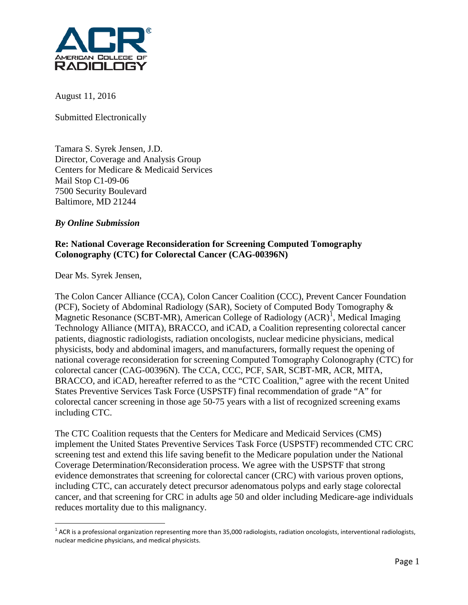

August 11, 2016

Submitted Electronically

Tamara S. Syrek Jensen, J.D. Director, Coverage and Analysis Group Centers for Medicare & Medicaid Services Mail Stop C1-09-06 7500 Security Boulevard Baltimore, MD 21244

# *By Online Submission*

## **Re: National Coverage Reconsideration for Screening Computed Tomography Colonography (CTC) for Colorectal Cancer (CAG-00396N)**

Dear Ms. Syrek Jensen,

The Colon Cancer Alliance (CCA), Colon Cancer Coalition (CCC), Prevent Cancer Foundation (PCF), Society of Abdominal Radiology (SAR), Society of Computed Body Tomography & Magnetic Resonance (SCBT-MR), American College of Radiology  $(ACR)^{1}$  $(ACR)^{1}$  $(ACR)^{1}$ , Medical Imaging Technology Alliance (MITA), BRACCO, and iCAD, a Coalition representing colorectal cancer patients, diagnostic radiologists, radiation oncologists, nuclear medicine physicians, medical physicists, body and abdominal imagers, and manufacturers, formally request the opening of national coverage reconsideration for screening Computed Tomography Colonography (CTC) for colorectal cancer (CAG-00396N). The CCA, CCC, PCF, SAR, SCBT-MR, ACR, MITA, BRACCO, and iCAD, hereafter referred to as the "CTC Coalition," agree with the recent United States Preventive Services Task Force (USPSTF) final recommendation of grade "A" for colorectal cancer screening in those age 50-75 years with a list of recognized screening exams including CTC.

The CTC Coalition requests that the Centers for Medicare and Medicaid Services (CMS) implement the United States Preventive Services Task Force (USPSTF) recommended CTC CRC screening test and extend this life saving benefit to the Medicare population under the National Coverage Determination/Reconsideration process. We agree with the USPSTF that strong evidence demonstrates that screening for colorectal cancer (CRC) with various proven options, including CTC, can accurately detect precursor adenomatous polyps and early stage colorectal cancer, and that screening for CRC in adults age 50 and older including Medicare-age individuals reduces mortality due to this malignancy.

<span id="page-0-0"></span> $1$  ACR is a professional organization representing more than 35,000 radiologists, radiation oncologists, interventional radiologists, nuclear medicine physicians, and medical physicists.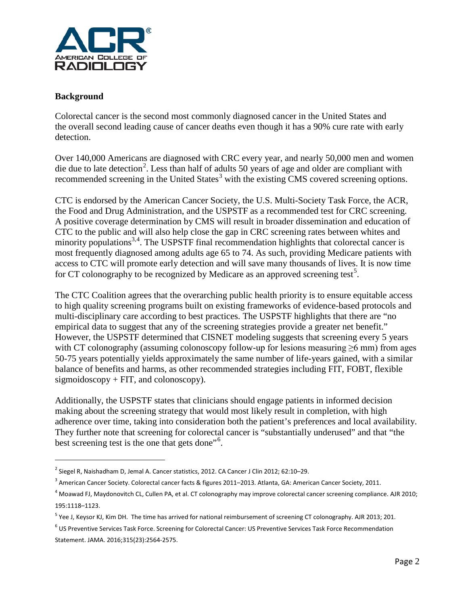

# **Background**

 $\overline{a}$ 

Colorectal cancer is the second most commonly diagnosed cancer in the United States and the overall second leading cause of cancer deaths even though it has a 90% cure rate with early detection.

<span id="page-1-0"></span>Over 140,000 Americans are diagnosed with CRC every year, and nearly 50,000 men and women die due to late detection<sup>[2](#page-1-1)</sup>. Less than half of adults 50 years of age and older are compliant with recommended screening in the United States<sup>[3](#page-1-2)</sup> with the existing CMS covered screening options.

CTC is endorsed by the American Cancer Society, the U.S. Multi-Society Task Force, the ACR, the Food and Drug Administration, and the USPSTF as a recommended test for CRC screening. A positive coverage determination by CMS will result in broader dissemination and education of CTC to the public and will also help close the gap in CRC screening rates between whites and minority populations<sup>[3,](#page-1-0)[4](#page-1-3)</sup>. The USPSTF final recommendation highlights that colorectal cancer is most frequently diagnosed among adults age 65 to 74. As such, providing Medicare patients with access to CTC will promote early detection and will save many thousands of lives. It is now time for CT colonography to be recognized by Medicare as an approved screening test<sup>[5](#page-1-4)</sup>.

The CTC Coalition agrees that the overarching public health priority is to ensure equitable access to high quality screening programs built on existing frameworks of evidence-based protocols and multi-disciplinary care according to best practices. The USPSTF highlights that there are "no empirical data to suggest that any of the screening strategies provide a greater net benefit." However, the USPSTF determined that CISNET modeling suggests that screening every 5 years with CT colonography (assuming colonoscopy follow-up for lesions measuring  $\geq 6$  mm) from ages 50-75 years potentially yields approximately the same number of life-years gained, with a similar balance of benefits and harms, as other recommended strategies including FIT, FOBT, flexible sigmoidoscopy  $+$  FIT, and colonoscopy).

Additionally, the USPSTF states that clinicians should engage patients in informed decision making about the screening strategy that would most likely result in completion, with high adherence over time, taking into consideration both the patient's preferences and local availability. They further note that screening for colorectal cancer is "substantially underused" and that "the best screening test is the one that gets done"<sup>[6](#page-1-5)</sup>.

<span id="page-1-1"></span><sup>&</sup>lt;sup>2</sup> Siegel R, Naishadham D, Jemal A. Cancer statistics, 2012. CA Cancer J Clin 2012; 62:10-29.

<span id="page-1-2"></span><sup>&</sup>lt;sup>3</sup> American Cancer Society. Colorectal cancer facts & figures 2011–2013. Atlanta, GA: American Cancer Society, 2011.

<span id="page-1-3"></span><sup>&</sup>lt;sup>4</sup> Moawad FJ, Maydonovitch CL, Cullen PA, et al. CT colonography may improve colorectal cancer screening compliance. AJR 2010; 195:1118–1123.

<span id="page-1-4"></span><sup>&</sup>lt;sup>5</sup> Yee J, Keysor KJ, Kim DH. The time has arrived for national reimbursement of screening CT colonography. AJR 2013; 201.

<span id="page-1-5"></span><sup>6</sup> US Preventive Services Task Force. Screening for Colorectal Cancer: US Preventive Services Task Force Recommendation Statement. JAMA. 2016;315(23):2564-2575.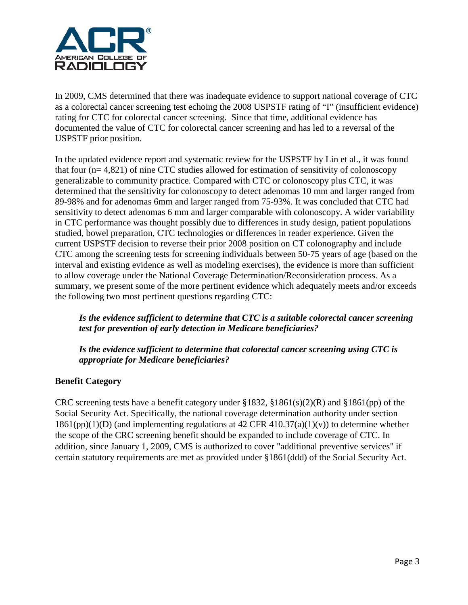

In 2009, CMS determined that there was inadequate evidence to support national coverage of CTC as a colorectal cancer screening test echoing the 2008 USPSTF rating of "I" (insufficient evidence) rating for CTC for colorectal cancer screening. Since that time, additional evidence has documented the value of CTC for colorectal cancer screening and has led to a reversal of the USPSTF prior position.

In the updated evidence report and systematic review for the USPSTF by Lin et al., it was found that four (n= 4,821) of nine CTC studies allowed for estimation of sensitivity of colonoscopy generalizable to community practice. Compared with CTC or colonoscopy plus CTC, it was determined that the sensitivity for colonoscopy to detect adenomas 10 mm and larger ranged from 89-98% and for adenomas 6mm and larger ranged from 75-93%. It was concluded that CTC had sensitivity to detect adenomas 6 mm and larger comparable with colonoscopy. A wider variability in CTC performance was thought possibly due to differences in study design, patient populations studied, bowel preparation, CTC technologies or differences in reader experience. Given the current USPSTF decision to reverse their prior 2008 position on CT colonography and include CTC among the screening tests for screening individuals between 50-75 years of age (based on the interval and existing evidence as well as modeling exercises), the evidence is more than sufficient to allow coverage under the National Coverage Determination/Reconsideration process. As a summary, we present some of the more pertinent evidence which adequately meets and/or exceeds the following two most pertinent questions regarding CTC:

# *Is the evidence sufficient to determine that CTC is a suitable colorectal cancer screening test for prevention of early detection in Medicare beneficiaries?*

*Is the evidence sufficient to determine that colorectal cancer screening using CTC is appropriate for Medicare beneficiaries?* 

# **Benefit Category**

CRC screening tests have a benefit category under  $$1832, $1861(s)(2)(R)$  and  $$1861(pp)$  of the Social Security Act. Specifically, the national coverage determination authority under section  $1861(pp)(1)(D)$  (and implementing regulations at 42 CFR 410.37(a)(1)(v)) to determine whether the scope of the CRC screening benefit should be expanded to include coverage of CTC. In addition, since January 1, 2009, CMS is authorized to cover "additional preventive services" if certain statutory requirements are met as provided under §1861(ddd) of the Social Security Act.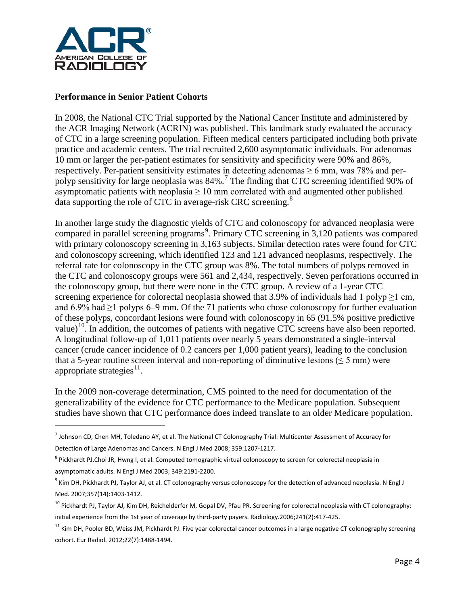

## **Performance in Senior Patient Cohorts**

In 2008, the National CTC Trial supported by the National Cancer Institute and administered by the ACR Imaging Network (ACRIN) was published. This landmark study evaluated the accuracy of CTC in a large screening population. Fifteen medical centers participated including both private practice and academic centers. The trial recruited 2,600 asymptomatic individuals. For adenomas 10 mm or larger the per-patient estimates for sensitivity and specificity were 90% and 86%, respectively. Per-patient sensitivity estimates in detecting adenomas  $\geq 6$  mm, was 78% and perpolyp sensitivity for large neoplasia was 84%.[7](#page-3-0) The finding that CTC screening identified 90% of asymptomatic patients with neoplasia  $\geq 10$  mm correlated with and augmented other published data supporting the role of CTC in average-risk CRC screening.<sup>[8](#page-3-1)</sup>

In another large study the diagnostic yields of CTC and colonoscopy for advanced neoplasia were compared in parallel screening programs<sup>[9](#page-3-2)</sup>. Primary CTC screening in 3,120 patients was compared with primary colonoscopy screening in 3,163 subjects. Similar detection rates were found for CTC and colonoscopy screening, which identified 123 and 121 advanced neoplasms, respectively. The referral rate for colonoscopy in the CTC group was 8%. The total numbers of polyps removed in the CTC and colonoscopy groups were 561 and 2,434, respectively. Seven perforations occurred in the colonoscopy group, but there were none in the CTC group. A review of a 1-year CTC screening experience for colorectal neoplasia showed that 3.9% of individuals had 1 polyp  $\geq$ 1 cm, and 6.9% had  $\geq$ 1 polyps 6–9 mm. Of the 71 patients who chose colonoscopy for further evaluation of these polyps, concordant lesions were found with colonoscopy in 65 (91.5% positive predictive value)<sup>10</sup>. In addition, the outcomes of patients with negative CTC screens have also been reported. A longitudinal follow-up of 1,011 patients over nearly 5 years demonstrated a single-interval cancer (crude cancer incidence of 0.2 cancers per 1,000 patient years), leading to the conclusion that a 5-year routine screen interval and non-reporting of diminutive lesions ( $\leq$  5 mm) were appropriate strategies $^{11}$ .

In the 2009 non-coverage determination, CMS pointed to the need for documentation of the generalizability of the evidence for CTC performance to the Medicare population. Subsequent studies have shown that CTC performance does indeed translate to an older Medicare population.

<span id="page-3-0"></span> $^7$  Johnson CD, Chen MH, Toledano AY, et al. The National CT Colonography Trial: Multicenter Assessment of Accuracy for Detection of Large Adenomas and Cancers. N Engl J Med 2008; 359:1207-1217.

<span id="page-3-1"></span><sup>&</sup>lt;sup>8</sup> Pickhardt PJ,Choi JR, Hwng I, et al. Computed tomographic virtual colonoscopy to screen for colorectal neoplasia in asymptomatic adults. N Engl J Med 2003; 349:2191-2200.

<span id="page-3-2"></span> $9$  Kim DH, Pickhardt PJ, Taylor AJ, et al. CT colonography versus colonoscopy for the detection of advanced neoplasia. N Engl J Med. 2007;357(14):1403-1412.

<span id="page-3-3"></span><sup>&</sup>lt;sup>10</sup> Pickhardt PJ, Taylor AJ, Kim DH, Reichelderfer M, Gopal DV, Pfau PR. Screening for colorectal neoplasia with CT colonography: initial experience from the 1st year of coverage by third-party payers. Radiology.2006;241(2):417-425.

<span id="page-3-4"></span><sup>&</sup>lt;sup>11</sup> Kim DH, Pooler BD, Weiss JM, Pickhardt PJ. Five year colorectal cancer outcomes in a large negative CT colonography screening cohort. Eur Radiol. 2012;22(7):1488-1494.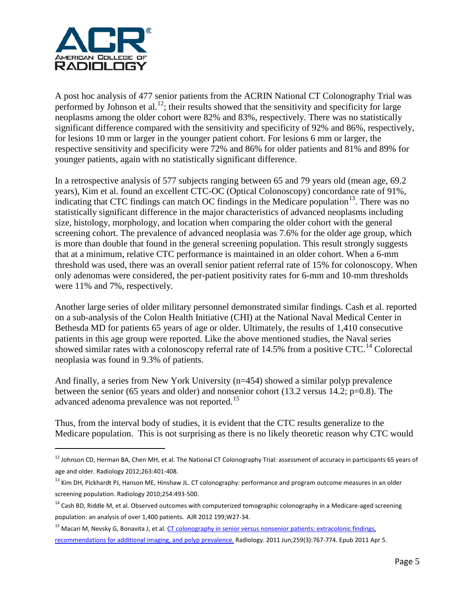

A post hoc analysis of 477 senior patients from the ACRIN National CT Colonography Trial was performed by Johnson et al.<sup>[12](#page-4-0)</sup>; their results showed that the sensitivity and specificity for large neoplasms among the older cohort were 82% and 83%, respectively. There was no statistically significant difference compared with the sensitivity and specificity of 92% and 86%, respectively, for lesions 10 mm or larger in the younger patient cohort. For lesions 6 mm or larger, the respective sensitivity and specificity were 72% and 86% for older patients and 81% and 89% for younger patients, again with no statistically significant difference.

In a retrospective analysis of 577 subjects ranging between 65 and 79 years old (mean age, 69.2 years), Kim et al. found an excellent CTC-OC (Optical Colonoscopy) concordance rate of 91%, indicating that CTC findings can match OC findings in the Medicare population<sup>13</sup>. There was no statistically significant difference in the major characteristics of advanced neoplasms including size, histology, morphology, and location when comparing the older cohort with the general screening cohort. The prevalence of advanced neoplasia was 7.6% for the older age group, which is more than double that found in the general screening population. This result strongly suggests that at a minimum, relative CTC performance is maintained in an older cohort. When a 6-mm threshold was used, there was an overall senior patient referral rate of 15% for colonoscopy. When only adenomas were considered, the per-patient positivity rates for 6-mm and 10-mm thresholds were 11% and 7%, respectively.

Another large series of older military personnel demonstrated similar findings. Cash et al. reported on a sub-analysis of the Colon Health Initiative (CHI) at the National Naval Medical Center in Bethesda MD for patients 65 years of age or older. Ultimately, the results of 1,410 consecutive patients in this age group were reported. Like the above mentioned studies, the Naval series showed similar rates with a colonoscopy referral rate of [14](#page-4-2).5% from a positive CTC.<sup>14</sup> Colorectal neoplasia was found in 9.3% of patients.

And finally, a series from New York University (n=454) showed a similar polyp prevalence between the senior (65 years and older) and nonsenior cohort (13.2 versus 14.2; p=0.8). The advanced adenoma prevalence was not reported.<sup>[15](#page-4-3)</sup>

Thus, from the interval body of studies, it is evident that the CTC results generalize to the Medicare population. This is not surprising as there is no likely theoretic reason why CTC would

<span id="page-4-0"></span> $^{12}$  Johnson CD, Herman BA, Chen MH, et al. The National CT Colonography Trial: assessment of accuracy in participants 65 years of age and older. Radiology 2012;263:401-408.

<span id="page-4-1"></span><sup>&</sup>lt;sup>13</sup> Kim DH, Pickhardt PJ, Hanson ME, Hinshaw JL. CT colonography: performance and program outcome measures in an older screening population. Radiology 2010;254:493-500.

<span id="page-4-2"></span> $14$  Cash BD, Riddle M, et al. Observed outcomes with computerized tomographic colonography in a Medicare-aged screening population: an analysis of over 1,400 patients. AJR 2012 199;W27-34.

<span id="page-4-3"></span><sup>&</sup>lt;sup>15</sup> Macari M, Nevsky G, Bonavita J, et al. CT colonography in senior versus nonsenior patients: extracolonic findings, recommendations for additional imaging, and polyp prevalence. Radiology. 2011 Jun;259(3):767-774. Epub 2011 Apr 5.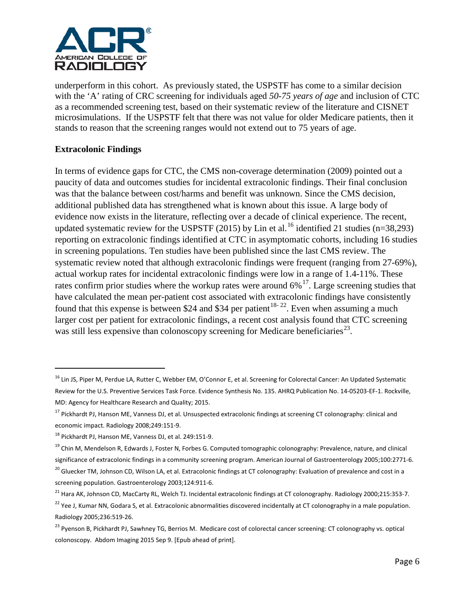

underperform in this cohort. As previously stated, the USPSTF has come to a similar decision with the 'A' rating of CRC screening for individuals aged *50-75 years of age* and inclusion of CTC as a recommended screening test, based on their systematic review of the literature and CISNET microsimulations. If the USPSTF felt that there was not value for older Medicare patients, then it stands to reason that the screening ranges would not extend out to 75 years of age.

# **Extracolonic Findings**

 $\overline{a}$ 

In terms of evidence gaps for CTC, the CMS non-coverage determination (2009) pointed out a paucity of data and outcomes studies for incidental extracolonic findings. Their final conclusion was that the balance between cost/harms and benefit was unknown. Since the CMS decision, additional published data has strengthened what is known about this issue. A large body of evidence now exists in the literature, reflecting over a decade of clinical experience. The recent, updated systematic review for the USPSTF (2015) by Lin et al.<sup>[16](#page-5-0)</sup> identified 21 studies (n=38,293) reporting on extracolonic findings identified at CTC in asymptomatic cohorts, including 16 studies in screening populations. Ten studies have been published since the last CMS review. The systematic review noted that although extracolonic findings were frequent (ranging from 27-69%), actual workup rates for incidental extracolonic findings were low in a range of 1.4-11%. These rates confirm prior studies where the workup rates were around  $6\%$ <sup>[17](#page-5-1)</sup>. Large screening studies that have calculated the mean per-patient cost associated with extracolonic findings have consistently found that this expense is between \$24 and \$34 per patient<sup>[18](#page-5-2)-22</sup>. Even when assuming a much larger cost per patient for extracolonic findings, a recent cost analysis found that CTC screening was still less expensive than colonoscopy screening for Medicare beneficiaries<sup>[23](#page-5-4)</sup>.

<span id="page-5-0"></span><sup>&</sup>lt;sup>16</sup> Lin JS, Piper M, Perdue LA, Rutter C, Webber EM, O'Connor E, et al. Screening for Colorectal Cancer: An Updated Systematic Review for the U.S. Preventive Services Task Force. Evidence Synthesis No. 135. AHRQ Publication No. 14-05203-EF-1. Rockville, MD: Agency for Healthcare Research and Quality; 2015.

<span id="page-5-1"></span><sup>&</sup>lt;sup>17</sup> Pickhardt PJ, Hanson ME, Vanness DJ, et al. Unsuspected extracolonic findings at screening CT colonography: clinical and economic impact. Radiology 2008;249:151-9.

<span id="page-5-2"></span><sup>18</sup> Pickhardt PJ, Hanson ME, Vanness DJ, et al. 249:151-9.

<sup>&</sup>lt;sup>19</sup> Chin M, Mendelson R, Edwards J, Foster N, Forbes G. Computed tomographic colonography: Prevalence, nature, and clinical significance of extracolonic findings in a community screening program. American Journal of Gastroenterology 2005;100:2771-6.

<sup>&</sup>lt;sup>20</sup> Gluecker TM, Johnson CD, Wilson LA, et al. Extracolonic findings at CT colonography: Evaluation of prevalence and cost in a screening population. Gastroenterology 2003;124:911-6.

<sup>&</sup>lt;sup>21</sup> Hara AK, Johnson CD, MacCarty RL, Welch TJ. Incidental extracolonic findings at CT colonography. Radiology 2000;215:353-7.

<span id="page-5-3"></span><sup>&</sup>lt;sup>22</sup> Yee J, Kumar NN, Godara S, et al. Extracolonic abnormalities discovered incidentally at CT colonography in a male population. Radiology 2005;236:519-26.

<span id="page-5-4"></span><sup>&</sup>lt;sup>23</sup> Pyenson B, Pickhardt PJ, Sawhney TG, Berrios M. Medicare cost of colorectal cancer screening: CT colonography vs. optical colonoscopy. Abdom Imaging 2015 Sep 9. [Epub ahead of print].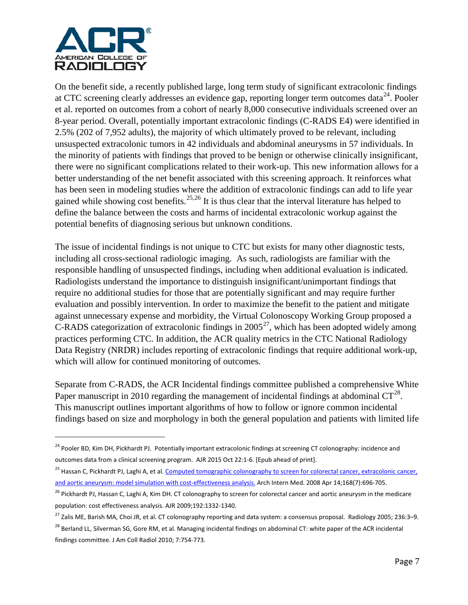

On the benefit side, a recently published large, long term study of significant extracolonic findings at CTC screening clearly addresses an evidence gap, reporting longer term outcomes data<sup>[24](#page-6-0)</sup>. Pooler et al. reported on outcomes from a cohort of nearly 8,000 consecutive individuals screened over an 8-year period. Overall, potentially important extracolonic findings (C-RADS E4) were identified in 2.5% (202 of 7,952 adults), the majority of which ultimately proved to be relevant, including unsuspected extracolonic tumors in 42 individuals and abdominal aneurysms in 57 individuals. In the minority of patients with findings that proved to be benign or otherwise clinically insignificant, there were no significant complications related to their work-up. This new information allows for a better understanding of the net benefit associated with this screening approach. It reinforces what has been seen in modeling studies where the addition of extracolonic findings can add to life year gained while showing cost benefits.<sup>[25](#page-6-1),[26](#page-6-2)</sup> It is thus clear that the interval literature has helped to define the balance between the costs and harms of incidental extracolonic workup against the potential benefits of diagnosing serious but unknown conditions.

The issue of incidental findings is not unique to CTC but exists for many other diagnostic tests, including all cross-sectional radiologic imaging. As such, radiologists are familiar with the responsible handling of unsuspected findings, including when additional evaluation is indicated. Radiologists understand the importance to distinguish insignificant/unimportant findings that require no additional studies for those that are potentially significant and may require further evaluation and possibly intervention. In order to maximize the benefit to the patient and mitigate against unnecessary expense and morbidity, the Virtual Colonoscopy Working Group proposed a C-RADS categorization of extracolonic findings in  $2005^{27}$ , which has been adopted widely among practices performing CTC. In addition, the ACR quality metrics in the CTC National Radiology Data Registry (NRDR) includes reporting of extracolonic findings that require additional work-up, which will allow for continued monitoring of outcomes.

Separate from C-RADS, the ACR Incidental findings committee published a comprehensive White Paper manuscript in 2010 regarding the management of incidental findings at abdominal  $CT^{28}$ . This manuscript outlines important algorithms of how to follow or ignore common incidental findings based on size and morphology in both the general population and patients with limited life

<span id="page-6-0"></span><sup>&</sup>lt;sup>24</sup> Pooler BD, Kim DH, Pickhardt PJ. Potentially important extracolonic findings at screening CT colonography: incidence and outcomes data from a clinical screening program. AJR 2015 Oct 22:1-6. [Epub ahead of print].

<span id="page-6-1"></span><sup>&</sup>lt;sup>25</sup> Hassan C, Pickhardt PJ, Laghi A, et al. Computed tomographic colonography to screen for colorectal cancer, extracolonic cancer, and aortic aneurysm: model simulation with cost-effectiveness analysis. Arch Intern Med. 2008 Apr 14;168(7):696-705.

<span id="page-6-2"></span><sup>&</sup>lt;sup>26</sup> Pickhardt PJ, Hassan C, Laghi A, Kim DH. CT colonography to screen for colorectal cancer and aortic aneurysm in the medicare population: cost effectiveness analysis. AJR 2009;192:1332-1340.

<span id="page-6-3"></span><sup>&</sup>lt;sup>27</sup> Zalis ME, Barish MA, Choi JR, et al. CT colonography reporting and data system: a consensus proposal. Radiology 2005; 236:3–9.

<span id="page-6-4"></span><sup>&</sup>lt;sup>28</sup> Berland LL, Silverman SG, Gore RM, et al. Managing incidental findings on abdominal CT: white paper of the ACR incidental findings committee. J Am Coll Radiol 2010; 7:754-773.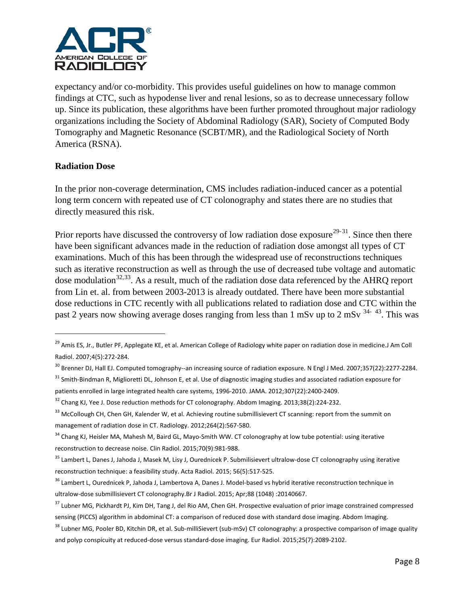

expectancy and/or co-morbidity. This provides useful guidelines on how to manage common findings at CTC, such as hypodense liver and renal lesions, so as to decrease unnecessary follow up. Since its publication, these algorithms have been further promoted throughout major radiology organizations including the Society of Abdominal Radiology (SAR), Society of Computed Body Tomography and Magnetic Resonance (SCBT/MR), and the Radiological Society of North America (RSNA).

## **Radiation Dose**

 $\overline{a}$ 

In the prior non-coverage determination, CMS includes radiation-induced cancer as a potential long term concern with repeated use of CT colonography and states there are no studies that directly measured this risk.

Prior reports have discussed the controversy of low radiation dose exposure<sup>[29](#page-7-0)-31</sup>. Since then there have been significant advances made in the reduction of radiation dose amongst all types of CT examinations. Much of this has been through the widespread use of reconstructions techniques such as iterative reconstruction as well as through the use of decreased tube voltage and automatic dose modulation<sup>[32](#page-7-2),[33](#page-7-3)</sup>. As a result, much of the radiation dose data referenced by the AHRQ report from Lin et. al. from between 2003-2013 is already outdated. There have been more substantial dose reductions in CTC recently with all publications related to radiation dose and CTC within the past 2 years now showing average doses ranging from less than 1 mSv up to 2 mSv  $34-43$  $34-43$ . This was

<span id="page-7-0"></span><sup>&</sup>lt;sup>29</sup> Amis ES, Jr., Butler PF, Applegate KE, et al. American College of Radiology white paper on radiation dose in medicine.J Am Coll Radiol. 2007;4(5):272-284.

 $30$  Brenner DJ, Hall EJ. Computed tomography--an increasing source of radiation exposure. N Engl J Med. 2007;357(22):2277-2284.

<span id="page-7-1"></span><sup>&</sup>lt;sup>31</sup> Smith-Bindman R, Miglioretti DL, Johnson E, et al. Use of diagnostic imaging studies and associated radiation exposure for patients enrolled in large integrated health care systems, 1996-2010. JAMA. 2012;307(22):2400-2409.

<span id="page-7-2"></span><sup>&</sup>lt;sup>32</sup> Chang KJ, Yee J. Dose reduction methods for CT colonography. Abdom Imaging. 2013;38(2):224-232.

<span id="page-7-3"></span><sup>&</sup>lt;sup>33</sup> McCollough CH, Chen GH, Kalender W, et al. Achieving routine submillisievert CT scanning: report from the summit on management of radiation dose in CT. Radiology. 2012;264(2):567-580.

<span id="page-7-5"></span><span id="page-7-4"></span><sup>&</sup>lt;sup>34</sup> Chang KJ, Heisler MA, Mahesh M, Baird GL, Mayo-Smith WW. CT colonography at low tube potential: using iterative reconstruction to decrease noise. Clin Radiol. 2015;70(9):981-988.

<sup>&</sup>lt;sup>35</sup> Lambert L, Danes J, Jahoda J, Masek M, Lisy J, Ourednicek P. Submilisievert ultralow-dose CT colonography using iterative reconstruction technique: a feasibility study. Acta Radiol. 2015; 56(5):517-525.

<sup>&</sup>lt;sup>36</sup> Lambert L, Ourednicek P, Jahoda J, Lambertova A, Danes J. Model-based vs hybrid iterative reconstruction technique in ultralow-dose submillisievert CT colonography.Br J Radiol. 2015; Apr;88 (1048) :20140667.

<sup>&</sup>lt;sup>37</sup> Lubner MG, Pickhardt PJ, Kim DH, Tang J, del Rio AM, Chen GH. Prospective evaluation of prior image constrained compressed sensing (PICCS) algorithm in abdominal CT: a comparison of reduced dose with standard dose imaging. Abdom Imaging.

<sup>&</sup>lt;sup>38</sup> Lubner MG, Pooler BD, Kitchin DR, et al. Sub-milliSievert (sub-mSv) CT colonography: a prospective comparison of image quality and polyp conspicuity at reduced-dose versus standard-dose imaging. Eur Radiol. 2015;25(7):2089-2102.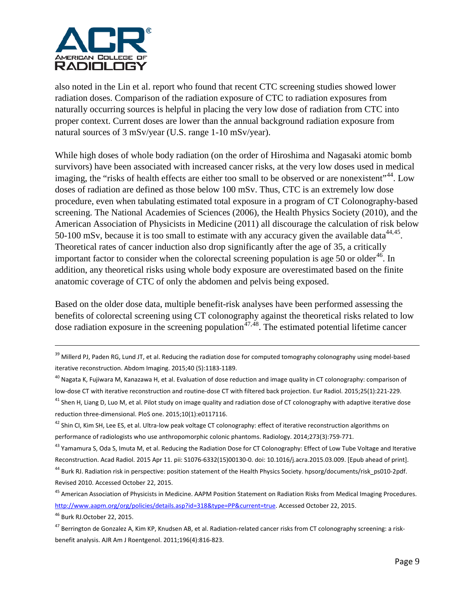

also noted in the Lin et al. report who found that recent CTC screening studies showed lower radiation doses. Comparison of the radiation exposure of CTC to radiation exposures from naturally occurring sources is helpful in placing the very low dose of radiation from CTC into proper context. Current doses are lower than the annual background radiation exposure from natural sources of 3 mSv/year (U.S. range 1-10 mSv/year).

<span id="page-8-0"></span>While high doses of whole body radiation (on the order of Hiroshima and Nagasaki atomic bomb survivors) have been associated with increased cancer risks, at the very low doses used in medical imaging, the "risks of health effects are either too small to be observed or are nonexistent"<sup>44</sup>. Low doses of radiation are defined as those below 100 mSv. Thus, CTC is an extremely low dose procedure, even when tabulating estimated total exposure in a program of CT Colonography-based screening. The National Academies of Sciences (2006), the Health Physics Society (2010), and the American Association of Physicists in Medicine (2011) all discourage the calculation of risk below 50-100 mSv, because it is too small to estimate with any accuracy given the available data  $44,45$ . Theoretical rates of cancer induction also drop significantly after the age of 35, a critically important factor to consider when the colorectal screening population is age 50 or older<sup>46</sup>. In addition, any theoretical risks using whole body exposure are overestimated based on the finite anatomic coverage of CTC of only the abdomen and pelvis being exposed.

Based on the older dose data, multiple benefit-risk analyses have been performed assessing the benefits of colorectal screening using CT colonography against the theoretical risks related to low dose radiation exposure in the screening population<sup> $47,48$  $47,48$ </sup>. The estimated potential lifetime cancer

<span id="page-8-3"></span><sup>46</sup> Burk RJ.October 22, 2015.

 $\overline{a}$ 

<sup>&</sup>lt;sup>39</sup> Millerd PJ, Paden RG, Lund JT, et al. Reducing the radiation dose for computed tomography colonography using model-based iterative reconstruction. Abdom Imaging. 2015;40 (5):1183-1189.

<sup>&</sup>lt;sup>40</sup> Nagata K, Fujiwara M, Kanazawa H, et al. Evaluation of dose reduction and image quality in CT colonography: comparison of low-dose CT with iterative reconstruction and routine-dose CT with filtered back projection. Eur Radiol. 2015;25(1):221-229.

 $41$  Shen H, Liang D, Luo M, et al. Pilot study on image quality and radiation dose of CT colonography with adaptive iterative dose reduction three-dimensional. PloS one. 2015;10(1):e0117116.

<span id="page-8-5"></span><sup>&</sup>lt;sup>42</sup> Shin CI, Kim SH, Lee ES, et al. Ultra-low peak voltage CT colonography: effect of iterative reconstruction algorithms on performance of radiologists who use anthropomorphic colonic phantoms. Radiology. 2014;273(3):759-771.

<sup>&</sup>lt;sup>43</sup> Yamamura S, Oda S, Imuta M, et al. Reducing the Radiation Dose for CT Colonography: Effect of Low Tube Voltage and Iterative Reconstruction. Acad Radiol. 2015 Apr 11. pii: S1076-6332(15)00130-0. doi: 10.1016/j.acra.2015.03.009. [Epub ahead of print].

<span id="page-8-1"></span><sup>&</sup>lt;sup>44</sup> Burk RJ. Radiation risk in perspective: position statement of the Health Physics Society. hpsorg/documents/risk\_ps010-2pdf. Revised 2010. Accessed October 22, 2015.

<span id="page-8-2"></span><sup>&</sup>lt;sup>45</sup> American Association of Physicists in Medicine. AAPM Position Statement on Radiation Risks from Medical Imaging Procedures. [http://www.aapm.org/org/policies/details.asp?id=318&type=PP&current=true.](http://www.aapm.org/org/policies/details.asp?id=318&type=PP¤t=true) Accessed October 22, 2015.

<span id="page-8-4"></span><sup>&</sup>lt;sup>47</sup> Berrington de Gonzalez A, Kim KP, Knudsen AB, et al. Radiation-related cancer risks from CT colonography screening: a riskbenefit analysis. AJR Am J Roentgenol. 2011;196(4):816-823.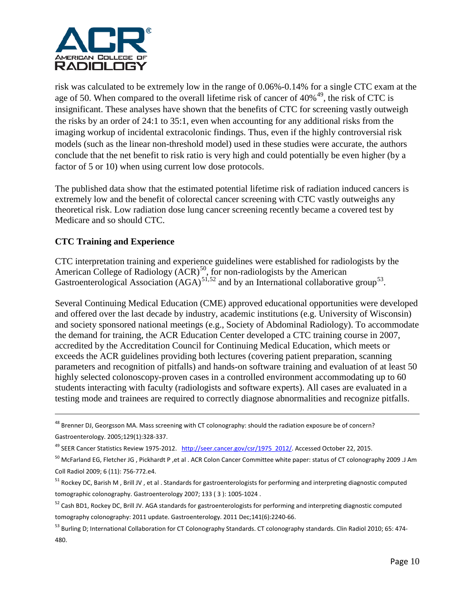

risk was calculated to be extremely low in the range of 0.06%-0.14% for a single CTC exam at the age of 50. When compared to the overall lifetime risk of cancer of  $40\%$ <sup>[49](#page-9-0)</sup>, the risk of CTC is insignificant. These analyses have shown that the benefits of CTC for screening vastly outweigh the risks by an order of 24:1 to 35:1, even when accounting for any additional risks from the imaging workup of incidental extracolonic findings. Thus, even if the highly controversial risk models (such as the linear non-threshold model) used in these studies were accurate, the authors conclude that the net benefit to risk ratio is very high and could potentially be even higher (by a factor of 5 or 10) when using current low dose protocols.

The published data show that the estimated potential lifetime risk of radiation induced cancers is extremely low and the benefit of colorectal cancer screening with CTC vastly outweighs any theoretical risk. Low radiation dose lung cancer screening recently became a covered test by Medicare and so should CTC.

# **CTC Training and Experience**

 $\overline{a}$ 

CTC interpretation training and experience guidelines were established for radiologists by the American College of Radiology  $(ACR)^{50}$  $(ACR)^{50}$  $(ACR)^{50}$ , for non-radiologists by the American Gastroenterological Association  $(AGA)^{51,52}$  $(AGA)^{51,52}$  $(AGA)^{51,52}$  $(AGA)^{51,52}$  $(AGA)^{51,52}$  and by an International collaborative group<sup>53</sup>.

Several Continuing Medical Education (CME) approved educational opportunities were developed and offered over the last decade by industry, academic institutions (e.g. University of Wisconsin) and society sponsored national meetings (e.g., Society of Abdominal Radiology). To accommodate the demand for training, the ACR Education Center developed a CTC training course in 2007, accredited by the Accreditation Council for Continuing Medical Education, which meets or exceeds the ACR guidelines providing both lectures (covering patient preparation, scanning parameters and recognition of pitfalls) and hands-on software training and evaluation of at least 50 highly selected colonoscopy-proven cases in a controlled environment accommodating up to 60 students interacting with faculty (radiologists and software experts). All cases are evaluated in a testing mode and trainees are required to correctly diagnose abnormalities and recognize pitfalls.

<sup>&</sup>lt;sup>48</sup> Brenner DJ, Georgsson MA. Mass screening with CT colonography: should the radiation exposure be of concern? Gastroenterology. 2005;129(1):328-337.

<span id="page-9-0"></span><sup>&</sup>lt;sup>49</sup> SEER Cancer Statistics Review 1975-2012. [http://seer.cancer.gov/csr/1975\\_2012/.](http://seer.cancer.gov/csr/1975_2012/) Accessed October 22, 2015.

<span id="page-9-1"></span> $50$  McFarland EG, Fletcher JG, Pickhardt P, et al. ACR Colon Cancer Committee white paper: status of CT colonography 2009 .J Am Coll Radiol 2009; 6 (11): 756-772.e4.

<span id="page-9-2"></span><sup>&</sup>lt;sup>51</sup> Rockey DC, Barish M, Brill JV, et al. Standards for gastroenterologists for performing and interpreting diagnostic computed tomographic colonography. Gastroenterology 2007; 133 ( 3 ): 1005-1024 .

<span id="page-9-3"></span><sup>&</sup>lt;sup>52</sup> Cash BD1, Rockey DC, Brill JV. AGA standards for gastroenterologists for performing and interpreting diagnostic computed tomography colonography: 2011 update. Gastroenterology. 2011 Dec;141(6):2240-66.

<span id="page-9-4"></span><sup>53</sup> Burling D; International Collaboration for CT Colonography Standards. CT colonography standards. Clin Radiol 2010; 65: 474-480.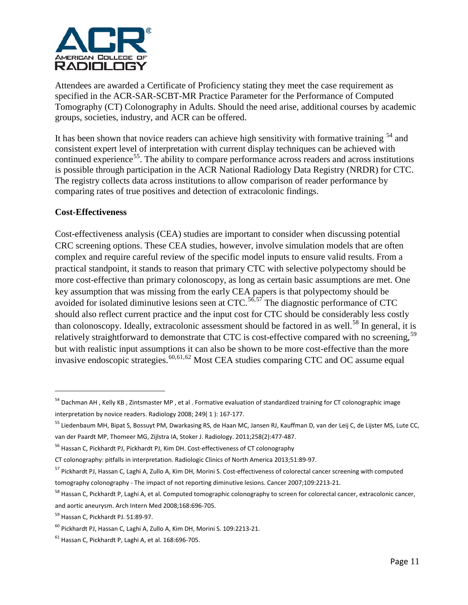

Attendees are awarded a Certificate of Proficiency stating they meet the case requirement as specified in the ACR-SAR-SCBT-MR Practice Parameter for the Performance of Computed Tomography (CT) Colonography in Adults. Should the need arise, additional courses by academic groups, societies, industry, and ACR can be offered.

It has been shown that novice readers can achieve high sensitivity with formative training  $<sup>54</sup>$  $<sup>54</sup>$  $<sup>54</sup>$  and</sup> consistent expert level of interpretation with current display techniques can be achieved with continued experience<sup>[55](#page-10-1)</sup>. The ability to compare performance across readers and across institutions is possible through participation in the ACR National Radiology Data Registry (NRDR) for CTC. The registry collects data across institutions to allow comparison of reader performance by comparing rates of true positives and detection of extracolonic findings.

# **Cost-Effectiveness**

<span id="page-10-8"></span> $\overline{a}$ 

Cost-effectiveness analysis (CEA) studies are important to consider when discussing potential CRC screening options. These CEA studies, however, involve simulation models that are often complex and require careful review of the specific model inputs to ensure valid results. From a practical standpoint, it stands to reason that primary CTC with selective polypectomy should be more cost-effective than primary colonoscopy, as long as certain basic assumptions are met. One key assumption that was missing from the early CEA papers is that polypectomy should be avoided for isolated diminutive lesions seen at CTC.<sup>[56,](#page-10-2)[57](#page-10-3)</sup> The diagnostic performance of CTC should also reflect current practice and the input cost for CTC should be considerably less costly than colonoscopy. Ideally, extracolonic assessment should be factored in as well.<sup>[58](#page-10-4)</sup> In general, it is relatively straightforward to demonstrate that CTC is cost-effective compared with no screening,<sup>[59](#page-10-5)</sup> but with realistic input assumptions it can also be shown to be more cost-effective than the more invasive endoscopic strategies.  $60,61,62$  $60,61,62$  $60,61,62$  Most CEA studies comparing CTC and OC assume equal

<span id="page-10-0"></span><sup>&</sup>lt;sup>54</sup> Dachman AH, Kelly KB, Zintsmaster MP, et al. Formative evaluation of standardized training for CT colonographic image interpretation by novice readers. Radiology 2008; 249( 1 ): 167-177.

<span id="page-10-1"></span><sup>55</sup> Liedenbaum MH, Bipat S, Bossuyt PM, Dwarkasing RS, de Haan MC, Jansen RJ, Kauffman D, van der Leij C, de Lijster MS, Lute CC, van der Paardt MP, Thomeer MG, Zijlstra IA, Stoker J. Radiology. 2011;258(2):477-487.

<span id="page-10-2"></span><sup>&</sup>lt;sup>56</sup> Hassan C, Pickhardt PJ, Pickhardt PJ, Kim DH. Cost-effectiveness of CT colonography

CT colonography: pitfalls in interpretation. Radiologic Clinics of North America 2013;51:89-97.

<span id="page-10-3"></span><sup>57</sup> Pickhardt PJ, Hassan C, Laghi A, Zullo A, Kim DH, Morini S. Cost-effectiveness of colorectal cancer screening with computed tomography colonography - The impact of not reporting diminutive lesions. Cancer 2007;109:2213-21.

<span id="page-10-4"></span><sup>&</sup>lt;sup>58</sup> Hassan C, Pickhardt P, Laghi A, et al. Computed tomographic colonography to screen for colorectal cancer, extracolonic cancer, and aortic aneurysm. Arch Intern Med 2008;168:696-705.

<span id="page-10-5"></span><sup>59</sup> Hassan C, Pickhardt PJ. 51:89-97.

<span id="page-10-6"></span><sup>60</sup> Pickhardt PJ, Hassan C, Laghi A, Zullo A, Kim DH, Morini S. 109:2213-21.

<span id="page-10-7"></span> $61$  Hassan C, Pickhardt P, Laghi A, et al. 168:696-705.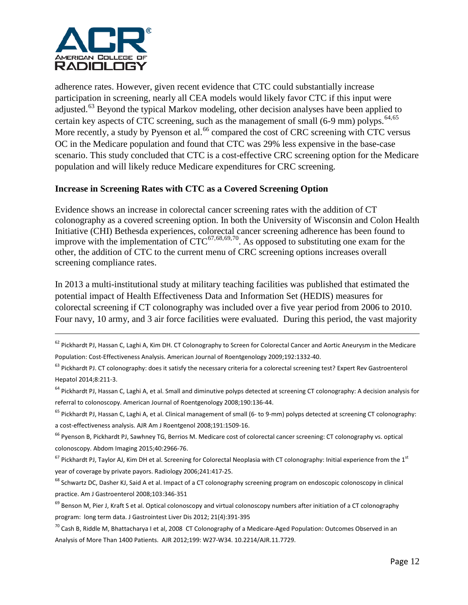

adherence rates. However, given recent evidence that CTC could substantially increase participation in screening, nearly all CEA models would likely favor CTC if this input were adjusted.<sup>[63](#page-11-0)</sup> Beyond the typical Markov modeling, other decision analyses have been applied to certain key aspects of CTC screening, such as the management of small (6-9 mm) polyps.  $64,65$  $64,65$  $64,65$ More recently, a study by Pyenson et al.<sup>[66](#page-11-3)</sup> compared the cost of CRC screening with CTC versus OC in the Medicare population and found that CTC was 29% less expensive in the base-case scenario. This study concluded that CTC is a cost-effective CRC screening option for the Medicare population and will likely reduce Medicare expenditures for CRC screening.

## **Increase in Screening Rates with CTC as a Covered Screening Option**

Evidence shows an increase in colorectal cancer screening rates with the addition of CT colonography as a covered screening option. In both the University of Wisconsin and Colon Health Initiative (CHI) Bethesda experiences, colorectal cancer screening adherence has been found to improve with the implementation of  $CTC^{67,68,69,70}$  $CTC^{67,68,69,70}$  $CTC^{67,68,69,70}$  $CTC^{67,68,69,70}$  $CTC^{67,68,69,70}$  $CTC^{67,68,69,70}$  $CTC^{67,68,69,70}$ . As opposed to substituting one exam for the other, the addition of CTC to the current menu of CRC screening options increases overall screening compliance rates.

In 2013 a multi-institutional study at military teaching facilities was published that estimated the potential impact of Health Effectiveness Data and Information Set (HEDIS) measures for colorectal screening if CT colonography was included over a five year period from 2006 to 2010. Four navy, 10 army, and 3 air force facilities were evaluated. During this period, the vast majority

<sup>&</sup>lt;sup>62</sup> Pickhardt PJ, Hassan C, Laghi A, Kim DH. CT Colonography to Screen for Colorectal Cancer and Aortic Aneurysm in the Medicare Population: Cost-Effectiveness Analysis. American Journal of Roentgenology 2009;192:1332-40.

<span id="page-11-0"></span><sup>&</sup>lt;sup>63</sup> Pickhardt PJ. CT colonography: does it satisfy the necessary criteria for a colorectal screening test? Expert Rev Gastroenterol Hepatol 2014;8:211-3.

<span id="page-11-1"></span><sup>&</sup>lt;sup>64</sup> Pickhardt PJ, Hassan C, Laghi A, et al. Small and diminutive polyps detected at screening CT colonography: A decision analysis for referral to colonoscopy. American Journal of Roentgenology 2008;190:136-44.

<span id="page-11-2"></span><sup>&</sup>lt;sup>65</sup> Pickhardt PJ, Hassan C, Laghi A, et al. Clinical management of small (6-to 9-mm) polyps detected at screening CT colonography: a cost-effectiveness analysis. AJR Am J Roentgenol 2008;191:1509-16.

<span id="page-11-3"></span><sup>&</sup>lt;sup>66</sup> Pyenson B, Pickhardt PJ, Sawhney TG, Berrios M. Medicare cost of colorectal cancer screening: CT colonography vs. optical colonoscopy. Abdom Imaging 2015;40:2966-76.

<span id="page-11-4"></span> $67$  Pickhardt PJ, Taylor AJ, Kim DH et al. Screening for Colorectal Neoplasia with CT colonography: Initial experience from the  $1<sup>st</sup>$ year of coverage by private payors. Radiology 2006;241:417-25.

<span id="page-11-5"></span><sup>&</sup>lt;sup>68</sup> Schwartz DC, Dasher KJ, Said A et al. Impact of a CT colonography screening program on endoscopic colonoscopy in clinical practice. Am J Gastroenterol 2008;103:346-351

<span id="page-11-6"></span> $69$  Benson M, Pier J, Kraft S et al. Optical colonoscopy and virtual colonoscopy numbers after initiation of a CT colonography program: long term data. J Gastrointest Liver Dis 2012; 21(4):391-395

<span id="page-11-7"></span> $^{70}$  Cash B, Riddle M, Bhattacharya I et al, 2008 CT Colonography of a Medicare-Aged Population: Outcomes Observed in an Analysis of More Than 1400 Patients. AJR 2012;199: W27-W34. 10.2214/AJR.11.7729.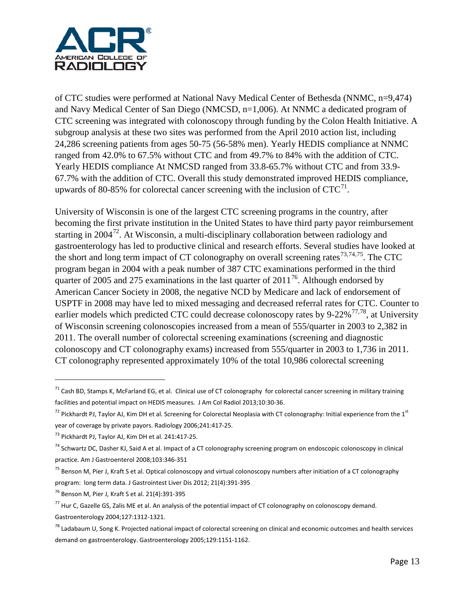

of CTC studies were performed at National Navy Medical Center of Bethesda (NNMC, n=9,474) and Navy Medical Center of San Diego (NMCSD, n=1,006). At NNMC a dedicated program of CTC screening was integrated with colonoscopy through funding by the Colon Health Initiative. A subgroup analysis at these two sites was performed from the April 2010 action list, including 24,286 screening patients from ages 50-75 (56-58% men). Yearly HEDIS compliance at NNMC ranged from 42.0% to 67.5% without CTC and from 49.7% to 84% with the addition of CTC. Yearly HEDIS compliance At NMCSD ranged from 33.8-65.7% without CTC and from 33.9- 67.7% with the addition of CTC. Overall this study demonstrated improved HEDIS compliance, upwards of 80-85% for colorectal cancer screening with the inclusion of  $CTC<sup>71</sup>$  $CTC<sup>71</sup>$  $CTC<sup>71</sup>$ .

University of Wisconsin is one of the largest CTC screening programs in the country, after becoming the first private institution in the United States to have third party payor reimbursement starting in 2004<sup>[72](#page-12-1)</sup>. At Wisconsin, a multi-disciplinary collaboration between radiology and gastroenterology has led to productive clinical and research efforts. Several studies have looked at the short and long term impact of CT colonography on overall screening rates<sup>[73,](#page-12-2)[74,](#page-12-3)[75](#page-12-4)</sup>. The CTC program began in 2004 with a peak number of 387 CTC examinations performed in the third quarter of 2005 and 275 examinations in the last quarter of  $2011^{76}$ . Although endorsed by American Cancer Society in 2008, the negative NCD by Medicare and lack of endorsement of USPTF in 2008 may have led to mixed messaging and decreased referral rates for CTC. Counter to earlier models which predicted CTC could decrease colonoscopy rates by 9-22% $^{77,78}$  $^{77,78}$  $^{77,78}$  $^{77,78}$ , at University of Wisconsin screening colonoscopies increased from a mean of 555/quarter in 2003 to 2,382 in 2011. The overall number of colorectal screening examinations (screening and diagnostic colonoscopy and CT colonography exams) increased from 555/quarter in 2003 to 1,736 in 2011. CT colonography represented approximately 10% of the total 10,986 colorectal screening

 $\overline{a}$ 

<span id="page-12-0"></span> $71$  Cash BD, Stamps K, McFarland EG, et al. Clinical use of CT colonography for colorectal cancer screening in military training facilities and potential impact on HEDIS measures. J Am Col Radiol 2013;10:30-36.

<span id="page-12-1"></span> $72$  Pickhardt PJ, Taylor AJ, Kim DH et al. Screening for Colorectal Neoplasia with CT colonography: Initial experience from the  $1<sup>st</sup>$ year of coverage by private payors. Radiology 2006;241:417-25.

<span id="page-12-2"></span><sup>73</sup> Pickhardt PJ, Taylor AJ, Kim DH et al. 241:417-25.

<span id="page-12-3"></span><sup>&</sup>lt;sup>74</sup> Schwartz DC, Dasher KJ, Said A et al. Impact of a CT colonography screening program on endoscopic colonoscopy in clinical practice. Am J Gastroenterol 2008;103:346-351

<span id="page-12-4"></span><sup>&</sup>lt;sup>75</sup> Benson M, Pier J, Kraft S et al. Optical colonoscopy and virtual colonoscopy numbers after initiation of a CT colonography program: long term data. J Gastrointest Liver Dis 2012; 21(4):391-395

<span id="page-12-5"></span><sup>76</sup> Benson M, Pier J, Kraft S et al. 21(4):391-395

<span id="page-12-6"></span> $<sup>77</sup>$  Hur C, Gazelle GS, Zalis ME et al. An analysis of the potential impact of CT colonography on colonoscopy demand.</sup> Gastroenterology 2004;127:1312-1321.

<span id="page-12-7"></span><sup>&</sup>lt;sup>78</sup> Ladabaum U, Song K. Projected national impact of colorectal screening on clinical and economic outcomes and health services demand on gastroenterology. Gastroenterology 2005;129:1151-1162.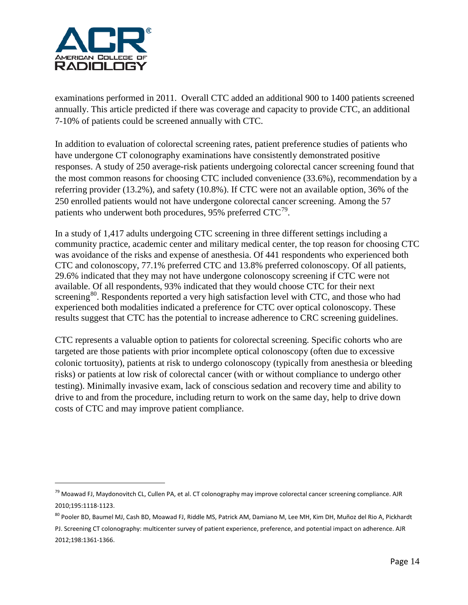

examinations performed in 2011. Overall CTC added an additional 900 to 1400 patients screened annually. This article predicted if there was coverage and capacity to provide CTC, an additional 7-10% of patients could be screened annually with CTC.

In addition to evaluation of colorectal screening rates, patient preference studies of patients who have undergone CT colonography examinations have consistently demonstrated positive responses. A study of 250 average-risk patients undergoing colorectal cancer screening found that the most common reasons for choosing CTC included convenience (33.6%), recommendation by a referring provider (13.2%), and safety (10.8%). If CTC were not an available option, 36% of the 250 enrolled patients would not have undergone colorectal cancer screening. Among the 57 patients who underwent both procedures, 95% preferred  $CTC^{79}$ .

In a study of 1,417 adults undergoing CTC screening in three different settings including a community practice, academic center and military medical center, the top reason for choosing CTC was avoidance of the risks and expense of anesthesia. Of 441 respondents who experienced both CTC and colonoscopy, 77.1% preferred CTC and 13.8% preferred colonoscopy. Of all patients, 29.6% indicated that they may not have undergone colonoscopy screening if CTC were not available. Of all respondents, 93% indicated that they would choose CTC for their next screening<sup>80</sup>. Respondents reported a very high satisfaction level with CTC, and those who had experienced both modalities indicated a preference for CTC over optical colonoscopy. These results suggest that CTC has the potential to increase adherence to CRC screening guidelines.

CTC represents a valuable option to patients for colorectal screening. Specific cohorts who are targeted are those patients with prior incomplete optical colonoscopy (often due to excessive colonic tortuosity), patients at risk to undergo colonoscopy (typically from anesthesia or bleeding risks) or patients at low risk of colorectal cancer (with or without compliance to undergo other testing). Minimally invasive exam, lack of conscious sedation and recovery time and ability to drive to and from the procedure, including return to work on the same day, help to drive down costs of CTC and may improve patient compliance.

<span id="page-13-0"></span><sup>&</sup>lt;sup>79</sup> Moawad FJ, Maydonovitch CL, Cullen PA, et al. CT colonography may improve colorectal cancer screening compliance. AJR 2010;195:1118-1123.

<span id="page-13-1"></span><sup>80</sup> Pooler BD, Baumel MJ, Cash BD, Moawad FJ, Riddle MS, Patrick AM, Damiano M, Lee MH, Kim DH, Muñoz del Rio A, Pickhardt PJ. Screening CT colonography: multicenter survey of patient experience, preference, and potential impact on adherence. AJR 2012;198:1361-1366.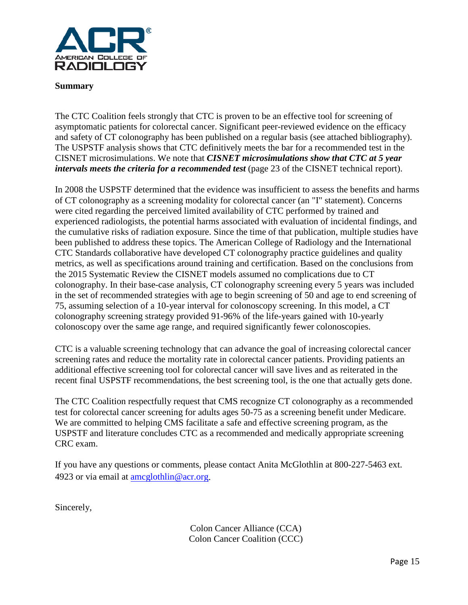

#### **Summary**

The CTC Coalition feels strongly that CTC is proven to be an effective tool for screening of asymptomatic patients for colorectal cancer. Significant peer-reviewed evidence on the efficacy and safety of CT colonography has been published on a regular basis (see attached bibliography). The USPSTF analysis shows that CTC definitively meets the bar for a recommended test in the CISNET microsimulations. We note that *CISNET microsimulations show that CTC at 5 year intervals meets the criteria for a recommended test* (page 23 of the CISNET technical report).

In 2008 the USPSTF determined that the evidence was insufficient to assess the benefits and harms of CT colonography as a screening modality for colorectal cancer (an "I" statement). Concerns were cited regarding the perceived limited availability of CTC performed by trained and experienced radiologists, the potential harms associated with evaluation of incidental findings, and the cumulative risks of radiation exposure. Since the time of that publication, multiple studies have been published to address these topics. The American College of Radiology and the International CTC Standards collaborative have developed CT colonography practice guidelines and quality metrics, as well as specifications around training and certification. Based on the conclusions from the 2015 Systematic Review the CISNET models assumed no complications due to CT colonography. In their base-case analysis, CT colonography screening every 5 years was included in the set of recommended strategies with age to begin screening of 50 and age to end screening of 75, assuming selection of a 10-year interval for colonoscopy screening. In this model, a CT colonography screening strategy provided 91-96% of the life-years gained with 10-yearly colonoscopy over the same age range, and required significantly fewer colonoscopies.

CTC is a valuable screening technology that can advance the goal of increasing colorectal cancer screening rates and reduce the mortality rate in colorectal cancer patients. Providing patients an additional effective screening tool for colorectal cancer will save lives and as reiterated in the recent final USPSTF recommendations, the best screening tool, is the one that actually gets done.

The CTC Coalition respectfully request that CMS recognize CT colonography as a recommended test for colorectal cancer screening for adults ages 50-75 as a screening benefit under Medicare. We are committed to helping CMS facilitate a safe and effective screening program, as the USPSTF and literature concludes CTC as a recommended and medically appropriate screening CRC exam.

If you have any questions or comments, please contact Anita McGlothlin at 800-227-5463 ext. 4923 or via email at [amcglothlin@acr.org.](mailto:amcglothlin@acr.org)

Sincerely,

Colon Cancer Alliance (CCA) Colon Cancer Coalition (CCC)